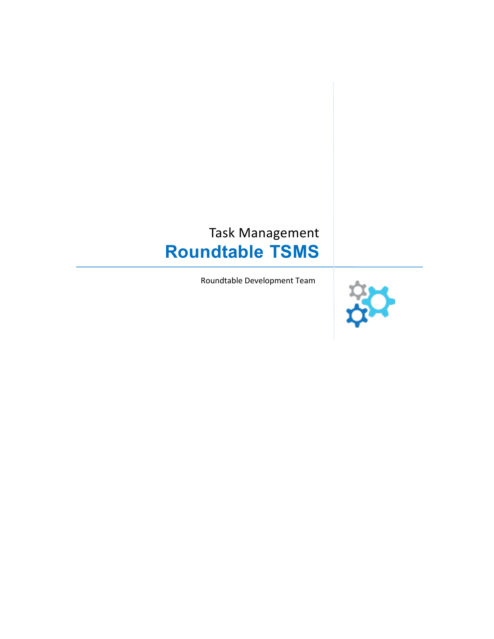# Task Management **Roundtable TSMS**

Roundtable Development Team

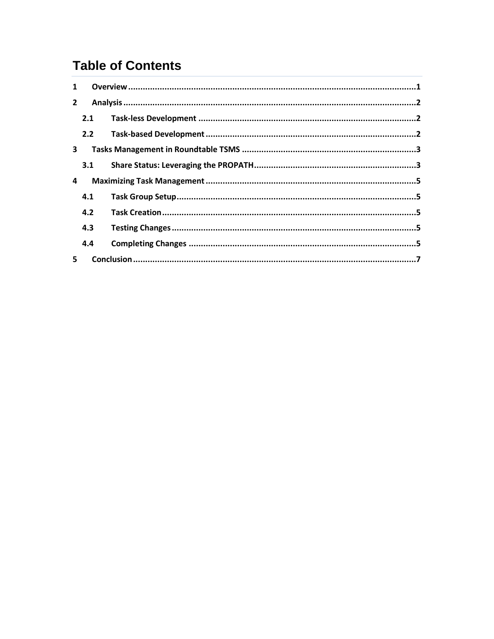# **Table of Contents**

| $\mathbf{1}$   |     |  |  |
|----------------|-----|--|--|
| $\overline{2}$ |     |  |  |
|                | 2.1 |  |  |
|                | 2.2 |  |  |
| 3              |     |  |  |
|                | 3.1 |  |  |
| 4              |     |  |  |
|                | 4.1 |  |  |
|                | 4.2 |  |  |
|                | 4.3 |  |  |
|                | 4.4 |  |  |
| 5              |     |  |  |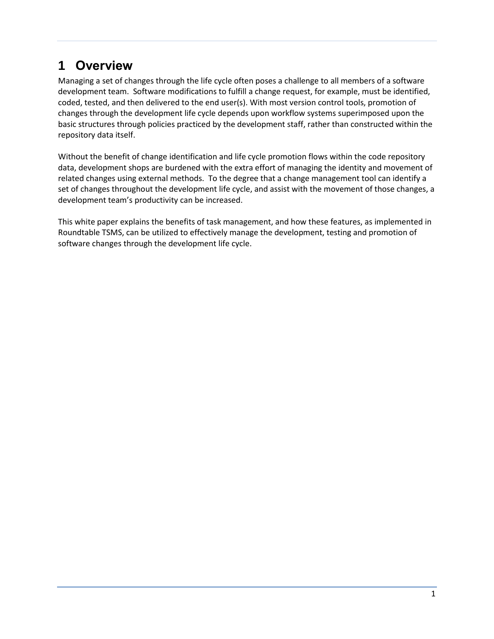# <span id="page-2-0"></span>**1 Overview**

Managing a set of changes through the life cycle often poses a challenge to all members of a software development team. Software modifications to fulfill a change request, for example, must be identified, coded, tested, and then delivered to the end user(s). With most version control tools, promotion of changes through the development life cycle depends upon workflow systems superimposed upon the basic structures through policies practiced by the development staff, rather than constructed within the repository data itself.

Without the benefit of change identification and life cycle promotion flows within the code repository data, development shops are burdened with the extra effort of managing the identity and movement of related changes using external methods. To the degree that a change management tool can identify a set of changes throughout the development life cycle, and assist with the movement of those changes, a development team's productivity can be increased.

This white paper explains the benefits of task management, and how these features, as implemented in Roundtable TSMS, can be utilized to effectively manage the development, testing and promotion of software changes through the development life cycle.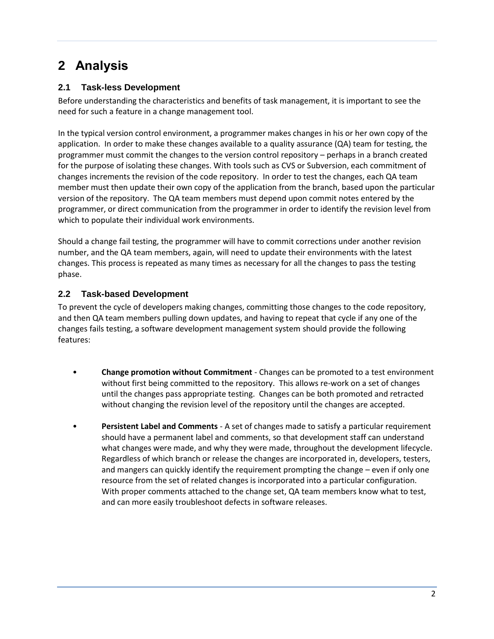# <span id="page-3-0"></span>**2 Analysis**

### <span id="page-3-1"></span>**2.1 Task-less Development**

Before understanding the characteristics and benefits of task management, it is important to see the need for such a feature in a change management tool.

In the typical version control environment, a programmer makes changes in his or her own copy of the application. In order to make these changes available to a quality assurance (QA) team for testing, the programmer must commit the changes to the version control repository – perhaps in a branch created for the purpose of isolating these changes. With tools such as CVS or Subversion, each commitment of changes increments the revision of the code repository. In order to test the changes, each QA team member must then update their own copy of the application from the branch, based upon the particular version of the repository. The QA team members must depend upon commit notes entered by the programmer, or direct communication from the programmer in order to identify the revision level from which to populate their individual work environments.

Should a change fail testing, the programmer will have to commit corrections under another revision number, and the QA team members, again, will need to update their environments with the latest changes. This process is repeated as many times as necessary for all the changes to pass the testing phase.

#### <span id="page-3-2"></span>**2.2 Task-based Development**

To prevent the cycle of developers making changes, committing those changes to the code repository, and then QA team members pulling down updates, and having to repeat that cycle if any one of the changes fails testing, a software development management system should provide the following features:

- **Change promotion without Commitment** Changes can be promoted to a test environment without first being committed to the repository. This allows re-work on a set of changes until the changes pass appropriate testing. Changes can be both promoted and retracted without changing the revision level of the repository until the changes are accepted.
- **Persistent Label and Comments** A set of changes made to satisfy a particular requirement should have a permanent label and comments, so that development staff can understand what changes were made, and why they were made, throughout the development lifecycle. Regardless of which branch or release the changes are incorporated in, developers, testers, and mangers can quickly identify the requirement prompting the change – even if only one resource from the set of related changes is incorporated into a particular configuration. With proper comments attached to the change set, QA team members know what to test, and can more easily troubleshoot defects in software releases.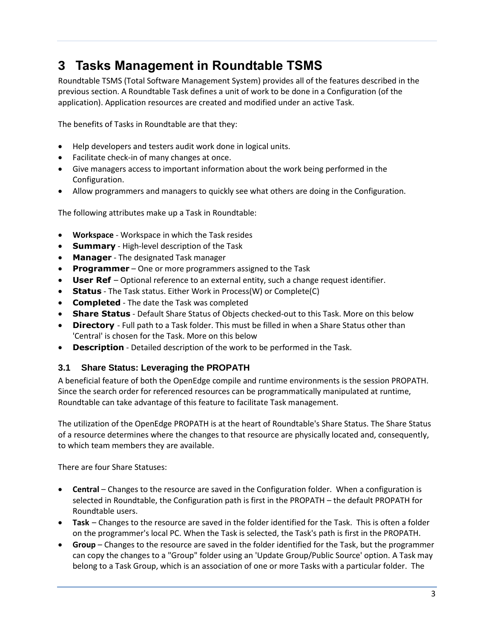# <span id="page-4-0"></span>**3 Tasks Management in Roundtable TSMS**

Roundtable TSMS (Total Software Management System) provides all of the features described in the previous section. A Roundtable Task defines a unit of work to be done in a Configuration (of the application). Application resources are created and modified under an active Task.

The benefits of Tasks in Roundtable are that they:

- Help developers and testers audit work done in logical units.
- Facilitate check-in of many changes at once.
- Give managers access to important information about the work being performed in the Configuration.
- Allow programmers and managers to quickly see what others are doing in the Configuration.

The following attributes make up a Task in Roundtable:

- **Workspace** Workspace in which the Task resides
- **Summary** High-level description of the Task
- **Manager** The designated Task manager
- **Programmer** One or more programmers assigned to the Task
- **User Ref** Optional reference to an external entity, such a change request identifier.
- **Status** The Task status. Either Work in Process(W) or Complete(C)
- **Completed** The date the Task was completed
- **Share Status** Default Share Status of Objects checked-out to this Task. More on this below
- **Directory**  Full path to a Task folder. This must be filled in when a Share Status other than 'Central' is chosen for the Task. More on this below
- **Description** Detailed description of the work to be performed in the Task.

#### <span id="page-4-1"></span>**3.1 Share Status: Leveraging the PROPATH**

A beneficial feature of both the OpenEdge compile and runtime environments is the session PROPATH. Since the search order for referenced resources can be programmatically manipulated at runtime, Roundtable can take advantage of this feature to facilitate Task management.

The utilization of the OpenEdge PROPATH is at the heart of Roundtable's Share Status. The Share Status of a resource determines where the changes to that resource are physically located and, consequently, to which team members they are available.

There are four Share Statuses:

- **Central** Changes to the resource are saved in the Configuration folder. When a configuration is selected in Roundtable, the Configuration path is first in the PROPATH – the default PROPATH for Roundtable users.
- **Task** Changes to the resource are saved in the folder identified for the Task. This is often a folder on the programmer's local PC. When the Task is selected, the Task's path is first in the PROPATH.
- **Group** Changes to the resource are saved in the folder identified for the Task, but the programmer can copy the changes to a "Group" folder using an 'Update Group/Public Source' option. A Task may belong to a Task Group, which is an association of one or more Tasks with a particular folder. The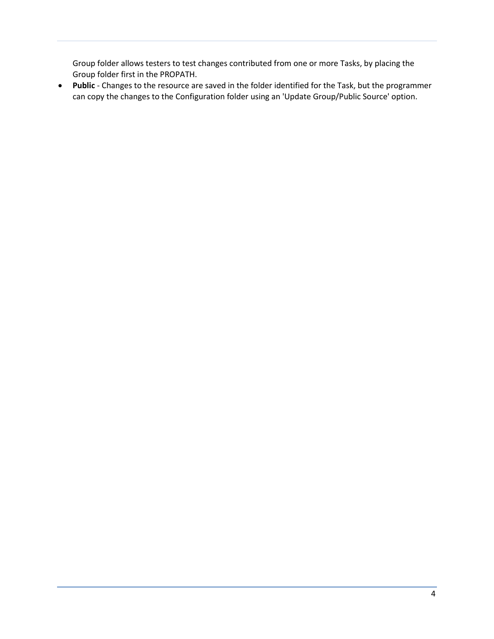Group folder allows testers to test changes contributed from one or more Tasks, by placing the Group folder first in the PROPATH.

 **Public** - Changes to the resource are saved in the folder identified for the Task, but the programmer can copy the changes to the Configuration folder using an 'Update Group/Public Source' option.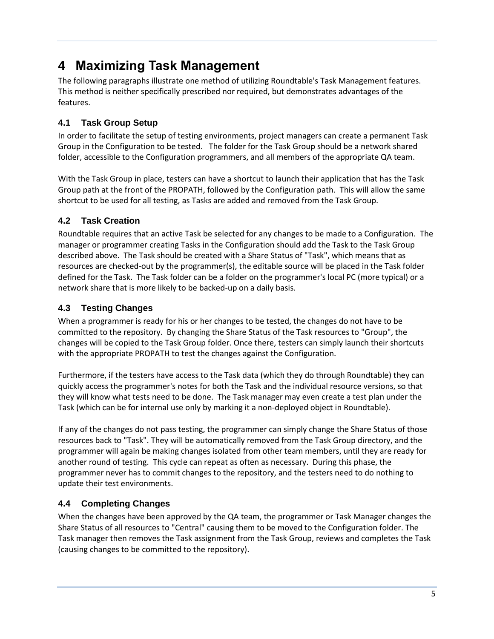## <span id="page-6-0"></span>**4 Maximizing Task Management**

The following paragraphs illustrate one method of utilizing Roundtable's Task Management features. This method is neither specifically prescribed nor required, but demonstrates advantages of the features.

### <span id="page-6-1"></span>**4.1 Task Group Setup**

In order to facilitate the setup of testing environments, project managers can create a permanent Task Group in the Configuration to be tested. The folder for the Task Group should be a network shared folder, accessible to the Configuration programmers, and all members of the appropriate QA team.

With the Task Group in place, testers can have a shortcut to launch their application that has the Task Group path at the front of the PROPATH, followed by the Configuration path. This will allow the same shortcut to be used for all testing, as Tasks are added and removed from the Task Group.

### <span id="page-6-2"></span>**4.2 Task Creation**

Roundtable requires that an active Task be selected for any changes to be made to a Configuration. The manager or programmer creating Tasks in the Configuration should add the Task to the Task Group described above. The Task should be created with a Share Status of "Task", which means that as resources are checked-out by the programmer(s), the editable source will be placed in the Task folder defined for the Task. The Task folder can be a folder on the programmer's local PC (more typical) or a network share that is more likely to be backed-up on a daily basis.

### <span id="page-6-3"></span>**4.3 Testing Changes**

When a programmer is ready for his or her changes to be tested, the changes do not have to be committed to the repository. By changing the Share Status of the Task resources to "Group", the changes will be copied to the Task Group folder. Once there, testers can simply launch their shortcuts with the appropriate PROPATH to test the changes against the Configuration.

Furthermore, if the testers have access to the Task data (which they do through Roundtable) they can quickly access the programmer's notes for both the Task and the individual resource versions, so that they will know what tests need to be done. The Task manager may even create a test plan under the Task (which can be for internal use only by marking it a non-deployed object in Roundtable).

If any of the changes do not pass testing, the programmer can simply change the Share Status of those resources back to "Task". They will be automatically removed from the Task Group directory, and the programmer will again be making changes isolated from other team members, until they are ready for another round of testing. This cycle can repeat as often as necessary. During this phase, the programmer never has to commit changes to the repository, and the testers need to do nothing to update their test environments.

### <span id="page-6-4"></span>**4.4 Completing Changes**

When the changes have been approved by the QA team, the programmer or Task Manager changes the Share Status of all resources to "Central" causing them to be moved to the Configuration folder. The Task manager then removes the Task assignment from the Task Group, reviews and completes the Task (causing changes to be committed to the repository).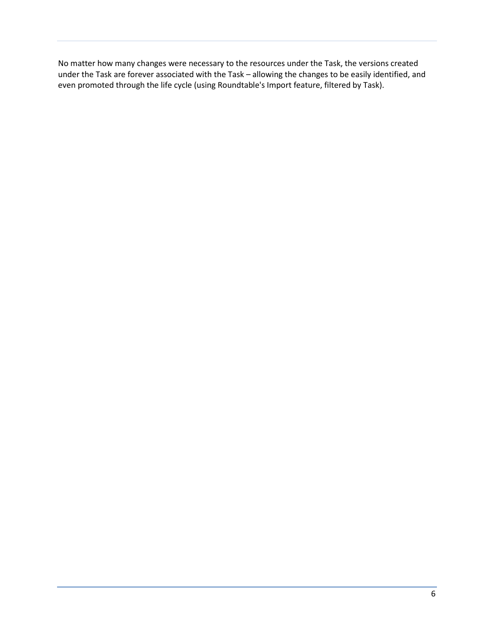No matter how many changes were necessary to the resources under the Task, the versions created under the Task are forever associated with the Task – allowing the changes to be easily identified, and even promoted through the life cycle (using Roundtable's Import feature, filtered by Task).